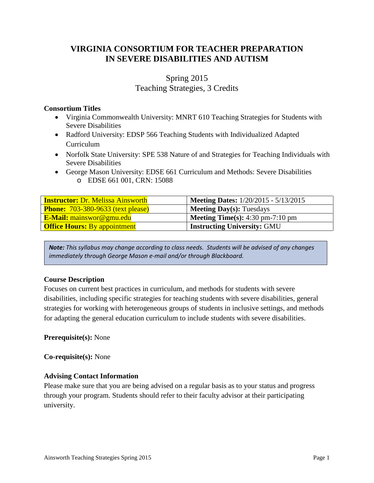# **VIRGINIA CONSORTIUM FOR TEACHER PREPARATION IN SEVERE DISABILITIES AND AUTISM**

# Spring 2015 Teaching Strategies, 3 Credits

# **Consortium Titles**

- Virginia Commonwealth University: MNRT 610 Teaching Strategies for Students with Severe Disabilities
- Radford University: EDSP 566 Teaching Students with Individualized Adapted Curriculum
- Norfolk State University: SPE 538 Nature of and Strategies for Teaching Individuals with Severe Disabilities
- George Mason University: EDSE 661 Curriculum and Methods: Severe Disabilities o EDSE 661 001, CRN: 15088

| <b>Instructor: Dr. Melissa Ainsworth</b> | <b>Meeting Dates:</b> 1/20/2015 - 5/13/2015               |
|------------------------------------------|-----------------------------------------------------------|
| <b>Phone:</b> 703-380-9633 (text please) | <b>Meeting Day(s): Tuesdays</b>                           |
| E-Mail: mainswor@gmu.edu                 | <b>Meeting Time(s):</b> $4:30 \text{ pm}-7:10 \text{ pm}$ |
| <b>Office Hours:</b> By appointment      | <b>Instructing University: GMU</b>                        |

*Note: This syllabus may change according to class needs. Students will be advised of any changes immediately through George Mason e-mail and/or through Blackboard.*

## **Course Description**

Focuses on current best practices in curriculum, and methods for students with severe disabilities, including specific strategies for teaching students with severe disabilities, general strategies for working with heterogeneous groups of students in inclusive settings, and methods for adapting the general education curriculum to include students with severe disabilities.

## **Prerequisite(s):** None

**Co-requisite(s):** None

# **Advising Contact Information**

Please make sure that you are being advised on a regular basis as to your status and progress through your program. Students should refer to their faculty advisor at their participating university.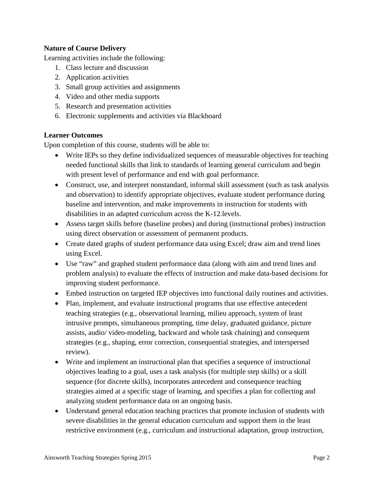# **Nature of Course Delivery**

Learning activities include the following:

- 1. Class lecture and discussion
- 2. Application activities
- 3. Small group activities and assignments
- 4. Video and other media supports
- 5. Research and presentation activities
- 6. Electronic supplements and activities via Blackboard

## **Learner Outcomes**

Upon completion of this course, students will be able to:

- Write IEPs so they define individualized sequences of measurable objectives for teaching needed functional skills that link to standards of learning general curriculum and begin with present level of performance and end with goal performance.
- Construct, use, and interpret nonstandard, informal skill assessment (such as task analysis and observation) to identify appropriate objectives, evaluate student performance during baseline and intervention, and make improvements in instruction for students with disabilities in an adapted curriculum across the K-12.levels.
- Assess target skills before (baseline probes) and during (instructional probes) instruction using direct observation or assessment of permanent products.
- Create dated graphs of student performance data using Excel; draw aim and trend lines using Excel.
- Use "raw" and graphed student performance data (along with aim and trend lines and problem analysis) to evaluate the effects of instruction and make data-based decisions for improving student performance.
- Embed instruction on targeted IEP objectives into functional daily routines and activities.
- Plan, implement, and evaluate instructional programs that use effective antecedent teaching strategies (e.g., observational learning, milieu approach, system of least intrusive prompts, simultaneous prompting, time delay, graduated guidance, picture assists, audio/ video-modeling, backward and whole task chaining) and consequent strategies (e.g., shaping, error correction, consequential strategies, and interspersed review).
- Write and implement an instructional plan that specifies a sequence of instructional objectives leading to a goal, uses a task analysis (for multiple step skills) or a skill sequence (for discrete skills), incorporates antecedent and consequence teaching strategies aimed at a specific stage of learning, and specifies a plan for collecting and analyzing student performance data on an ongoing basis.
- Understand general education teaching practices that promote inclusion of students with severe disabilities in the general education curriculum and support them in the least restrictive environment (e.g., curriculum and instructional adaptation, group instruction,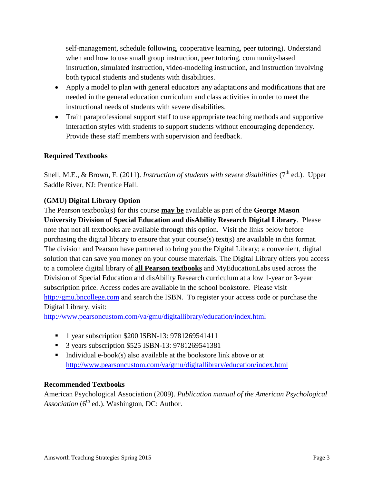self-management, schedule following, cooperative learning, peer tutoring). Understand when and how to use small group instruction, peer tutoring, community-based instruction, simulated instruction, video-modeling instruction, and instruction involving both typical students and students with disabilities.

- Apply a model to plan with general educators any adaptations and modifications that are needed in the general education curriculum and class activities in order to meet the instructional needs of students with severe disabilities.
- Train paraprofessional support staff to use appropriate teaching methods and supportive interaction styles with students to support students without encouraging dependency. Provide these staff members with supervision and feedback.

# **Required Textbooks**

Snell, M.E., & Brown, F. (2011). *Instruction of students with severe disabilities* (7<sup>th</sup> ed.). Upper Saddle River, NJ: Prentice Hall.

# **(GMU) Digital Library Option**

The Pearson textbook(s) for this course **may be** available as part of the **George Mason University Division of Special Education and disAbility Research Digital Library**. Please note that not all textbooks are available through this option. Visit the links below before purchasing the digital library to ensure that your course(s) text(s) are available in this format. The division and Pearson have partnered to bring you the Digital Library; a convenient, digital solution that can save you money on your course materials. The Digital Library offers you access to a complete digital library of **all Pearson textbooks** and MyEducationLabs used across the Division of Special Education and disAbility Research curriculum at a low 1-year or 3-year subscription price. Access codes are available in the school bookstore. Please visit [http://gmu.bncollege.com](http://gmu.bncollege.com/webapp/wcs/stores/servlet/BNCBHomePage?storeId=15552&catalogId=10001&langId=-1) and search the ISBN. To register your access code or purchase the Digital Library, visit:

<http://www.pearsoncustom.com/va/gmu/digitallibrary/education/index.html>

- <sup>1</sup> 1 year subscription \$200 ISBN-13: 9781269541411
- 3 years subscription \$525 ISBN-13: 9781269541381
- Individual e-book(s) also available at the bookstore link above or at <http://www.pearsoncustom.com/va/gmu/digitallibrary/education/index.html>

## **Recommended Textbooks**

American Psychological Association (2009). *Publication manual of the American Psychological Association*  $(6<sup>th</sup>$  ed.). Washington, DC: Author.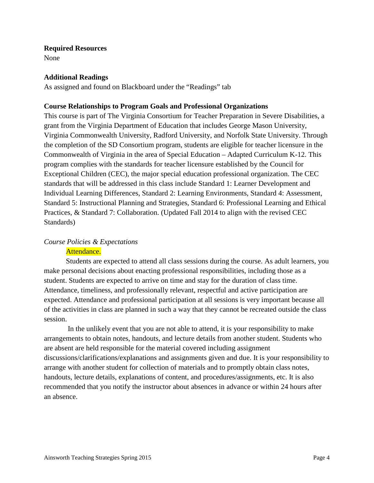#### **Required Resources**

None

### **Additional Readings**

As assigned and found on Blackboard under the "Readings" tab

### **Course Relationships to Program Goals and Professional Organizations**

This course is part of The Virginia Consortium for Teacher Preparation in Severe Disabilities, a grant from the Virginia Department of Education that includes George Mason University, Virginia Commonwealth University, Radford University, and Norfolk State University. Through the completion of the SD Consortium program, students are eligible for teacher licensure in the Commonwealth of Virginia in the area of Special Education – Adapted Curriculum K-12. This program complies with the standards for teacher licensure established by the Council for Exceptional Children (CEC), the major special education professional organization. The CEC standards that will be addressed in this class include Standard 1: Learner Development and Individual Learning Differences, Standard 2: Learning Environments, Standard 4: Assessment, Standard 5: Instructional Planning and Strategies, Standard 6: Professional Learning and Ethical Practices, & Standard 7: Collaboration. (Updated Fall 2014 to align with the revised CEC Standards)

## *Course Policies & Expectations*

### Attendance.

Students are expected to attend all class sessions during the course. As adult learners, you make personal decisions about enacting professional responsibilities, including those as a student. Students are expected to arrive on time and stay for the duration of class time. Attendance, timeliness, and professionally relevant, respectful and active participation are expected. Attendance and professional participation at all sessions is very important because all of the activities in class are planned in such a way that they cannot be recreated outside the class session.

In the unlikely event that you are not able to attend, it is your responsibility to make arrangements to obtain notes, handouts, and lecture details from another student. Students who are absent are held responsible for the material covered including assignment discussions/clarifications/explanations and assignments given and due. It is your responsibility to arrange with another student for collection of materials and to promptly obtain class notes, handouts, lecture details, explanations of content, and procedures/assignments, etc. It is also recommended that you notify the instructor about absences in advance or within 24 hours after an absence.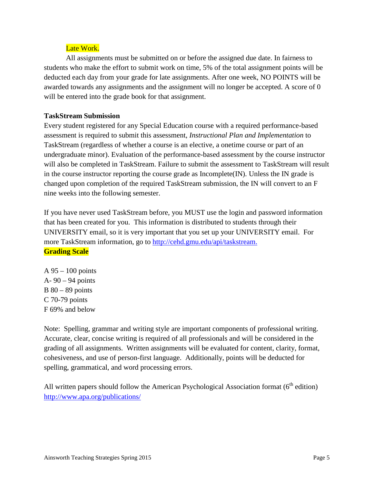# Late Work.

All assignments must be submitted on or before the assigned due date. In fairness to students who make the effort to submit work on time, 5% of the total assignment points will be deducted each day from your grade for late assignments. After one week, NO POINTS will be awarded towards any assignments and the assignment will no longer be accepted. A score of 0 will be entered into the grade book for that assignment.

## **TaskStream Submission**

Every student registered for any Special Education course with a required performance-based assessment is required to submit this assessment, *Instructional Plan and Implementation* to TaskStream (regardless of whether a course is an elective, a onetime course or part of an undergraduate minor). Evaluation of the performance-based assessment by the course instructor will also be completed in TaskStream. Failure to submit the assessment to TaskStream will result in the course instructor reporting the course grade as Incomplete(IN). Unless the IN grade is changed upon completion of the required TaskStream submission, the IN will convert to an F nine weeks into the following semester.

If you have never used TaskStream before, you MUST use the login and password information that has been created for you. This information is distributed to students through their UNIVERSITY email, so it is very important that you set up your UNIVERSITY email. For more TaskStream information, go to [http://cehd.gmu.edu/api/taskstream.](http://cehd.gmu.edu/api/taskstream) **Grading Scale**

A 95 – 100 points A- 90 – 94 points  $B$  80 – 89 points C 70-79 points F 69% and below

Note: Spelling, grammar and writing style are important components of professional writing. Accurate, clear, concise writing is required of all professionals and will be considered in the grading of all assignments. Written assignments will be evaluated for content, clarity, format, cohesiveness, and use of person-first language. Additionally, points will be deducted for spelling, grammatical, and word processing errors.

All written papers should follow the American Psychological Association format  $(6<sup>th</sup>$  edition) <http://www.apa.org/publications/>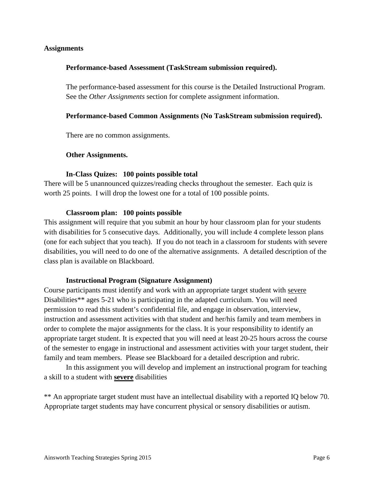### **Assignments**

### **Performance-based Assessment (TaskStream submission required).**

The performance-based assessment for this course is the Detailed Instructional Program. See the *Other Assignments* section for complete assignment information.

### **Performance-based Common Assignments (No TaskStream submission required).**

There are no common assignments.

#### **Other Assignments.**

#### **In-Class Quizes: 100 points possible total**

There will be 5 unannounced quizzes/reading checks throughout the semester. Each quiz is worth 25 points. I will drop the lowest one for a total of 100 possible points.

#### **Classroom plan: 100 points possible**

This assignment will require that you submit an hour by hour classroom plan for your students with disabilities for 5 consecutive days. Additionally, you will include 4 complete lesson plans (one for each subject that you teach). If you do not teach in a classroom for students with severe disabilities, you will need to do one of the alternative assignments. A detailed description of the class plan is available on Blackboard.

#### **Instructional Program (Signature Assignment)**

Course participants must identify and work with an appropriate target student with severe Disabilities\*\* ages 5-21 who is participating in the adapted curriculum. You will need permission to read this student's confidential file, and engage in observation, interview, instruction and assessment activities with that student and her/his family and team members in order to complete the major assignments for the class. It is your responsibility to identify an appropriate target student. It is expected that you will need at least 20-25 hours across the course of the semester to engage in instructional and assessment activities with your target student, their family and team members. Please see Blackboard for a detailed description and rubric.

In this assignment you will develop and implement an instructional program for teaching a skill to a student with **severe** disabilities

\*\* An appropriate target student must have an intellectual disability with a reported IQ below 70. Appropriate target students may have concurrent physical or sensory disabilities or autism.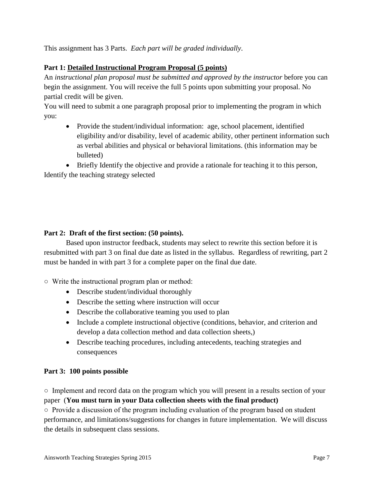This assignment has 3 Parts. *Each part will be graded individually*.

# **Part 1: Detailed Instructional Program Proposal (5 points)**

An *instructional plan proposal must be submitted and approved by the instructor* before you can begin the assignment. You will receive the full 5 points upon submitting your proposal. No partial credit will be given.

You will need to submit a one paragraph proposal prior to implementing the program in which you:

• Provide the student/individual information: age, school placement, identified eligibility and/or disability, level of academic ability, other pertinent information such as verbal abilities and physical or behavioral limitations. (this information may be bulleted)

• Briefly Identify the objective and provide a rationale for teaching it to this person, Identify the teaching strategy selected

# **Part 2: Draft of the first section: (50 points).**

Based upon instructor feedback, students may select to rewrite this section before it is resubmitted with part 3 on final due date as listed in the syllabus. Regardless of rewriting, part 2 must be handed in with part 3 for a complete paper on the final due date.

○ Write the instructional program plan or method:

- Describe student/individual thoroughly
- Describe the setting where instruction will occur
- Describe the collaborative teaming you used to plan
- Include a complete instructional objective (conditions, behavior, and criterion and develop a data collection method and data collection sheets,)
- Describe teaching procedures, including antecedents, teaching strategies and consequences

## **Part 3: 100 points possible**

○ Implement and record data on the program which you will present in a results section of your paper (**You must turn in your Data collection sheets with the final product)**

○ Provide a discussion of the program including evaluation of the program based on student performance, and limitations/suggestions for changes in future implementation. We will discuss the details in subsequent class sessions.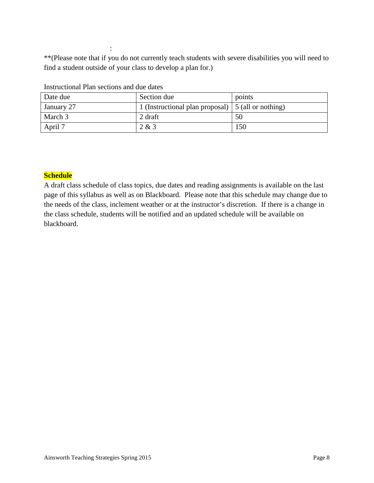\*\*(Please note that if you do not currently teach students with severe disabilities you will need to find a student outside of your class to develop a plan for.)

| Date due   | Section due                                               | points |
|------------|-----------------------------------------------------------|--------|
| January 27 | 1 (Instructional plan proposal) $\mid$ 5 (all or nothing) |        |
| March 3    | 2 draft                                                   | 50     |
| April 7    | 2 & 3                                                     | 150    |

Instructional Plan sections and due dates

:

### **Schedule**

A draft class schedule of class topics, due dates and reading assignments is available on the last page of this syllabus as well as on Blackboard. Please note that this schedule may change due to the needs of the class, inclement weather or at the instructor's discretion. If there is a change in the class schedule, students will be notified and an updated schedule will be available on blackboard.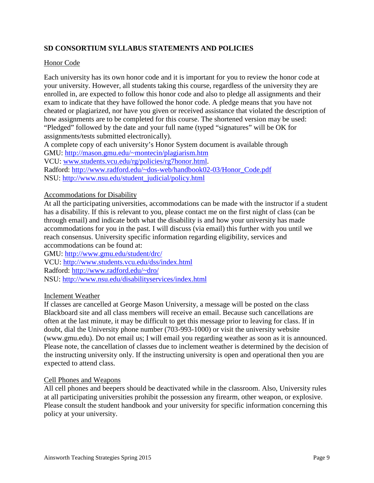# **SD CONSORTIUM SYLLABUS STATEMENTS AND POLICIES**

### Honor Code

Each university has its own honor code and it is important for you to review the honor code at your university. However, all students taking this course, regardless of the university they are enrolled in, are expected to follow this honor code and also to pledge all assignments and their exam to indicate that they have followed the honor code. A pledge means that you have not cheated or plagiarized, nor have you given or received assistance that violated the description of how assignments are to be completed for this course. The shortened version may be used: "Pledged" followed by the date and your full name (typed "signatures" will be OK for assignments/tests submitted electronically).

A complete copy of each university's Honor System document is available through

GMU:<http://mason.gmu.edu/~montecin/plagiarism.htm>

VCU: [www.students.vcu.edu/rg/policies/rg7honor.html.](http://www.students.vcu.edu/rg/policies/rg7honor.html)

Radford: [http://www.radford.edu/~dos-web/handbook02-03/Honor\\_Code.pdf](http://www.radford.edu/~dos-web/handbook02-03/Honor_Code.pdf) NSU: [http://www.nsu.edu/student\\_judicial/policy.html](http://www.nsu.edu/student_judicial/policy.html)

### Accommodations for Disability

At all the participating universities, accommodations can be made with the instructor if a student has a disability. If this is relevant to you, please contact me on the first night of class (can be through email) and indicate both what the disability is and how your university has made accommodations for you in the past. I will discuss (via email) this further with you until we reach consensus. University specific information regarding eligibility, services and accommodations can be found at:

GMU:<http://www.gmu.edu/student/drc/> VCU:<http://www.students.vcu.edu/dss/index.html> Radford:<http://www.radford.edu/~dro/> NSU:<http://www.nsu.edu/disabilityservices/index.html>

### Inclement Weather

If classes are cancelled at George Mason University, a message will be posted on the class Blackboard site and all class members will receive an email. Because such cancellations are often at the last minute, it may be difficult to get this message prior to leaving for class. If in doubt, dial the University phone number (703-993-1000) or visit the university website (www.gmu.edu). Do not email us; I will email you regarding weather as soon as it is announced. Please note, the cancellation of classes due to inclement weather is determined by the decision of the instructing university only. If the instructing university is open and operational then you are expected to attend class.

### Cell Phones and Weapons

All cell phones and beepers should be deactivated while in the classroom. Also, University rules at all participating universities prohibit the possession any firearm, other weapon, or explosive. Please consult the student handbook and your university for specific information concerning this policy at your university.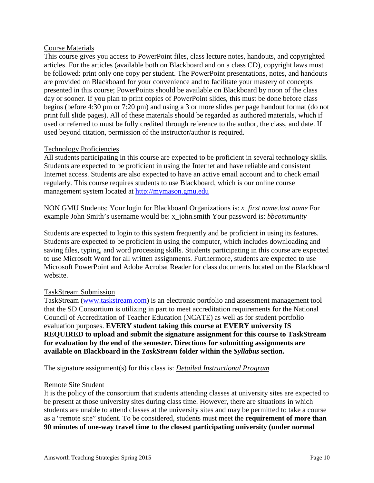### Course Materials

This course gives you access to PowerPoint files, class lecture notes, handouts, and copyrighted articles. For the articles (available both on Blackboard and on a class CD), copyright laws must be followed: print only one copy per student. The PowerPoint presentations, notes, and handouts are provided on Blackboard for your convenience and to facilitate your mastery of concepts presented in this course; PowerPoints should be available on Blackboard by noon of the class day or sooner. If you plan to print copies of PowerPoint slides, this must be done before class begins (before 4:30 pm or 7:20 pm) and using a 3 or more slides per page handout format (do not print full slide pages). All of these materials should be regarded as authored materials, which if used or referred to must be fully credited through reference to the author, the class, and date. If used beyond citation, permission of the instructor/author is required.

### Technology Proficiencies

All students participating in this course are expected to be proficient in several technology skills. Students are expected to be proficient in using the Internet and have reliable and consistent Internet access. Students are also expected to have an active email account and to check email regularly. This course requires students to use Blackboard, which is our online course management system located at [http://mymason.gmu.edu](http://mymason.gmu.edu/) 

NON GMU Students: Your login for Blackboard Organizations is: *x\_first name.last name* For example John Smith's username would be: x\_john.smith Your password is: *bbcommunity*

Students are expected to login to this system frequently and be proficient in using its features. Students are expected to be proficient in using the computer, which includes downloading and saving files, typing, and word processing skills. Students participating in this course are expected to use Microsoft Word for all written assignments. Furthermore, students are expected to use Microsoft PowerPoint and Adobe Acrobat Reader for class documents located on the Blackboard website.

### TaskStream Submission

TaskStream [\(www.taskstream.com\)](http://www.taskstream.com/) is an electronic portfolio and assessment management tool that the SD Consortium is utilizing in part to meet accreditation requirements for the National Council of Accreditation of Teacher Education (NCATE) as well as for student portfolio evaluation purposes. **EVERY student taking this course at EVERY university IS REQUIRED to upload and submit the signature assignment for this course to TaskStream for evaluation by the end of the semester. Directions for submitting assignments are available on Blackboard in the** *TaskStream* **folder within the** *Syllabus* **section.** 

The signature assignment(s) for this class is: *Detailed Instructional Program*

### Remote Site Student

It is the policy of the consortium that students attending classes at university sites are expected to be present at those university sites during class time. However, there are situations in which students are unable to attend classes at the university sites and may be permitted to take a course as a "remote site" student. To be considered, students must meet the **requirement of more than 90 minutes of one-way travel time to the closest participating university (under normal**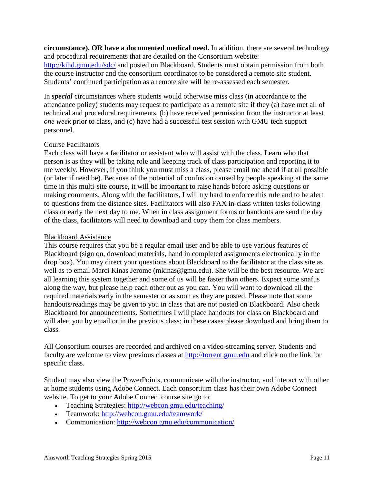**circumstance). OR have a documented medical need.** In addition, **t**here are several technology and procedural requirements that are detailed on the Consortium website:

<http://kihd.gmu.edu/sdc/> and posted on Blackboard. Students must obtain permission from both the course instructor and the consortium coordinator to be considered a remote site student. Students' continued participation as a remote site will be re-assessed each semester.

In *special* circumstances where students would otherwise miss class (in accordance to the attendance policy) students may request to participate as a remote site if they (a) have met all of technical and procedural requirements, (b) have received permission from the instructor at least *one week* prior to class, and (c) have had a successful test session with GMU tech support personnel.

### Course Facilitators

Each class will have a facilitator or assistant who will assist with the class. Learn who that person is as they will be taking role and keeping track of class participation and reporting it to me weekly. However, if you think you must miss a class, please email me ahead if at all possible (or later if need be). Because of the potential of confusion caused by people speaking at the same time in this multi-site course, it will be important to raise hands before asking questions or making comments. Along with the facilitators, I will try hard to enforce this rule and to be alert to questions from the distance sites. Facilitators will also FAX in-class written tasks following class or early the next day to me. When in class assignment forms or handouts are send the day of the class, facilitators will need to download and copy them for class members.

### Blackboard Assistance

This course requires that you be a regular email user and be able to use various features of Blackboard (sign on, download materials, hand in completed assignments electronically in the drop box). You may direct your questions about Blackboard to the facilitator at the class site as well as to email Marci Kinas Jerome (mkinas@gmu.edu). She will be the best resource. We are all learning this system together and some of us will be faster than others. Expect some snafus along the way, but please help each other out as you can. You will want to download all the required materials early in the semester or as soon as they are posted. Please note that some handouts/readings may be given to you in class that are not posted on Blackboard. Also check Blackboard for announcements. Sometimes I will place handouts for class on Blackboard and will alert you by email or in the previous class; in these cases please download and bring them to class.

All Consortium courses are recorded and archived on a video-streaming server. Students and faculty are welcome to view previous classes at [http://torrent.gmu.edu](http://torrent.gmu.edu/) and click on the link for specific class.

Student may also view the PowerPoints, communicate with the instructor, and interact with other at home students using Adobe Connect. Each consortium class has their own Adobe Connect website. To get to your Adobe Connect course site go to:

- Teaching Strategies:<http://webcon.gmu.edu/teaching/>
- Teamwork:<http://webcon.gmu.edu/teamwork/>
- Communication:<http://webcon.gmu.edu/communication/>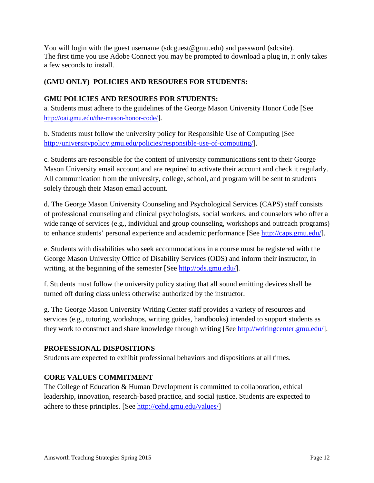You will login with the guest username (sdcguest  $@gmu.edu)$  and password (sdcsite). The first time you use Adobe Connect you may be prompted to download a plug in, it only takes a few seconds to install.

# **(GMU ONLY) POLICIES AND RESOURES FOR STUDENTS:**

# **GMU POLICIES AND RESOURES FOR STUDENTS:**

a. Students must adhere to the guidelines of the George Mason University Honor Code [See [http://oai.gmu.edu/the-mason-honor-code/\]](http://oai.gmu.edu/the-mason-honor-code/).

b. Students must follow the university policy for Responsible Use of Computing [See [http://universitypolicy.gmu.edu/policies/responsible-use-of-computing/\]](http://universitypolicy.gmu.edu/policies/responsible-use-of-computing/).

c. Students are responsible for the content of university communications sent to their George Mason University email account and are required to activate their account and check it regularly. All communication from the university, college, school, and program will be sent to students solely through their Mason email account.

d. The George Mason University Counseling and Psychological Services (CAPS) staff consists of professional counseling and clinical psychologists, social workers, and counselors who offer a wide range of services (e.g., individual and group counseling, workshops and outreach programs) to enhance students' personal experience and academic performance [See [http://caps.gmu.edu/\]](http://caps.gmu.edu/).

e. Students with disabilities who seek accommodations in a course must be registered with the George Mason University Office of Disability Services (ODS) and inform their instructor, in writing, at the beginning of the semester [See [http://ods.gmu.edu/\]](http://ods.gmu.edu/).

f. Students must follow the university policy stating that all sound emitting devices shall be turned off during class unless otherwise authorized by the instructor.

g. The George Mason University Writing Center staff provides a variety of resources and services (e.g., tutoring, workshops, writing guides, handbooks) intended to support students as they work to construct and share knowledge through writing [See [http://writingcenter.gmu.edu/\]](http://writingcenter.gmu.edu/).

# **PROFESSIONAL DISPOSITIONS**

Students are expected to exhibit professional behaviors and dispositions at all times.

# **CORE VALUES COMMITMENT**

The College of Education & Human Development is committed to collaboration, ethical leadership, innovation, research-based practice, and social justice. Students are expected to adhere to these principles. [See [http://cehd.gmu.edu/values/\]](http://cehd.gmu.edu/values/)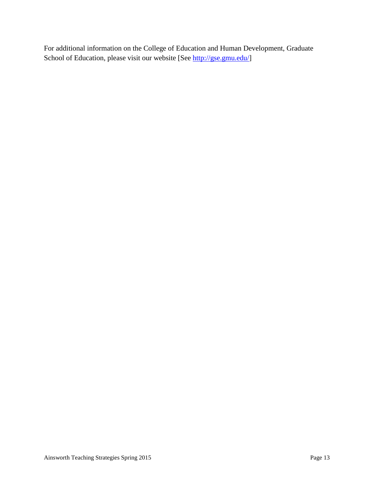For additional information on the College of Education and Human Development, Graduate School of Education, please visit our website [See [http://gse.gmu.edu/\]](http://gse.gmu.edu/)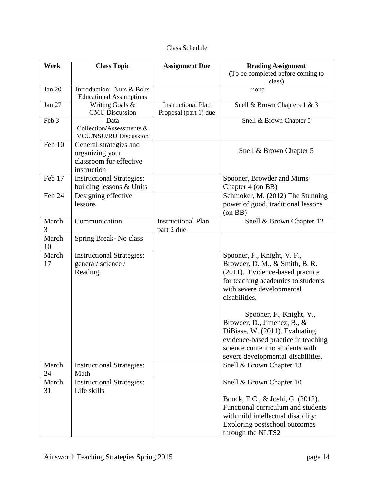|  | Class Schedule |
|--|----------------|
|--|----------------|

| <b>Week</b> | <b>Class Topic</b>                                                                  | <b>Assignment Due</b>                              | <b>Reading Assignment</b>                                                                                                                                                                                                                                                                                                                                                                          |
|-------------|-------------------------------------------------------------------------------------|----------------------------------------------------|----------------------------------------------------------------------------------------------------------------------------------------------------------------------------------------------------------------------------------------------------------------------------------------------------------------------------------------------------------------------------------------------------|
|             |                                                                                     |                                                    | (To be completed before coming to<br>class)                                                                                                                                                                                                                                                                                                                                                        |
| Jan 20      | Introduction: Nuts & Bolts<br><b>Educational Assumptions</b>                        |                                                    | none                                                                                                                                                                                                                                                                                                                                                                                               |
| Jan 27      | Writing Goals &<br><b>GMU</b> Discussion                                            | <b>Instructional Plan</b><br>Proposal (part 1) due | Snell & Brown Chapters 1 & 3                                                                                                                                                                                                                                                                                                                                                                       |
| Feb 3       | Data<br>Collection/Assessments &<br><b>VCU/NSU/RU Discussion</b>                    |                                                    | Snell & Brown Chapter 5                                                                                                                                                                                                                                                                                                                                                                            |
| Feb 10      | General strategies and<br>organizing your<br>classroom for effective<br>instruction |                                                    | Snell & Brown Chapter 5                                                                                                                                                                                                                                                                                                                                                                            |
| Feb 17      | <b>Instructional Strategies:</b><br>building lessons & Units                        |                                                    | Spooner, Browder and Mims<br>Chapter 4 (on BB)                                                                                                                                                                                                                                                                                                                                                     |
| Feb 24      | Designing effective<br>lessons                                                      |                                                    | Schmoker, M. (2012) The Stunning<br>power of good, traditional lessons<br>(on BB)                                                                                                                                                                                                                                                                                                                  |
| March<br>3  | Communication                                                                       | <b>Instructional Plan</b><br>part 2 due            | Snell & Brown Chapter 12                                                                                                                                                                                                                                                                                                                                                                           |
| March<br>10 | Spring Break-No class                                                               |                                                    |                                                                                                                                                                                                                                                                                                                                                                                                    |
| March<br>17 | <b>Instructional Strategies:</b><br>general/science/<br>Reading                     |                                                    | Spooner, F., Knight, V. F.,<br>Browder, D. M., & Smith, B. R.<br>(2011). Evidence-based practice<br>for teaching academics to students<br>with severe developmental<br>disabilities.<br>Spooner, F., Knight, V.,<br>Browder, D., Jimenez, B., &<br>DiBiase, W. (2011). Evaluating<br>evidence-based practice in teaching<br>science content to students with<br>severe developmental disabilities. |
| March<br>24 | <b>Instructional Strategies:</b><br>Math                                            |                                                    | Snell & Brown Chapter 13                                                                                                                                                                                                                                                                                                                                                                           |
| March<br>31 | <b>Instructional Strategies:</b><br>Life skills                                     |                                                    | Snell & Brown Chapter 10<br>Bouck, E.C., & Joshi, G. (2012).<br>Functional curriculum and students<br>with mild intellectual disability:<br>Exploring postschool outcomes<br>through the NLTS2                                                                                                                                                                                                     |